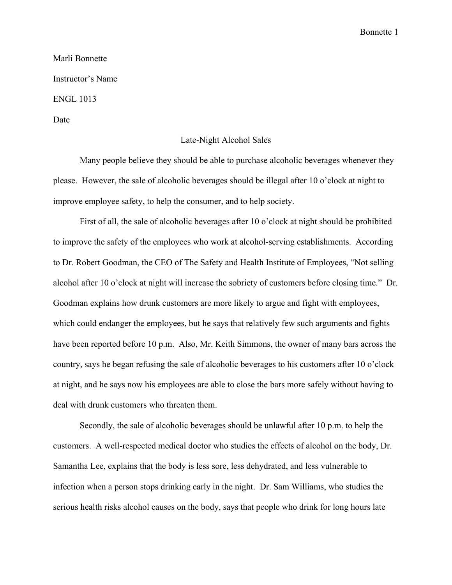Bonnette 1

## Marli Bonnette Instructor's Name ENGL 1013 Date

## Late-Night Alcohol Sales

Many people believe they should be able to purchase alcoholic beverages whenever they please. However, the sale of alcoholic beverages should be illegal after 10 o'clock at night to improve employee safety, to help the consumer, and to help society.

First of all, the sale of alcoholic beverages after 10 o'clock at night should be prohibited to improve the safety of the employees who work at alcohol-serving establishments. According to Dr. Robert Goodman, the CEO of The Safety and Health Institute of Employees, "Not selling alcohol after 10 o'clock at night will increase the sobriety of customers before closing time." Dr. Goodman explains how drunk customers are more likely to argue and fight with employees, which could endanger the employees, but he says that relatively few such arguments and fights have been reported before 10 p.m. Also, Mr. Keith Simmons, the owner of many bars across the country, says he began refusing the sale of alcoholic beverages to his customers after 10 o'clock at night, and he says now his employees are able to close the bars more safely without having to deal with drunk customers who threaten them.

Secondly, the sale of alcoholic beverages should be unlawful after 10 p.m. to help the customers. A well-respected medical doctor who studies the effects of alcohol on the body, Dr. Samantha Lee, explains that the body is less sore, less dehydrated, and less vulnerable to infection when a person stops drinking early in the night. Dr. Sam Williams, who studies the serious health risks alcohol causes on the body, says that people who drink for long hours late